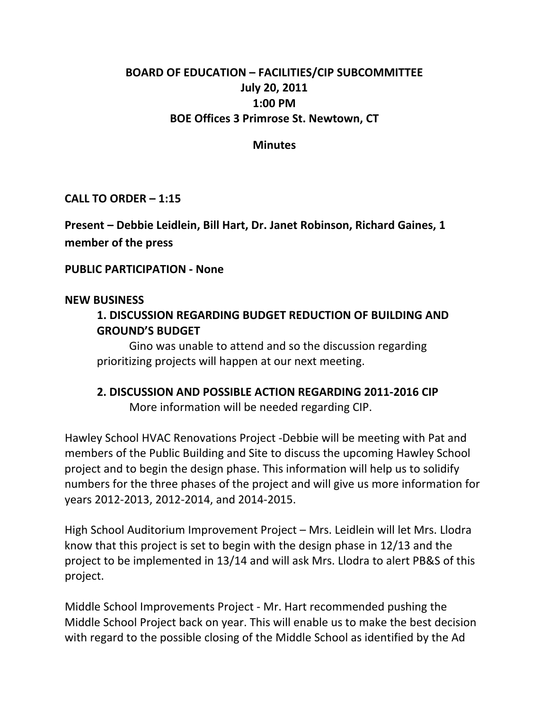# **BOARD OF EDUCATION – FACILITIES/CIP SUBCOMMITTEE July 20, 2011 1:00 PM BOE Offices 3 Primrose St. Newtown, CT**

### **Minutes**

**CALL TO ORDER – 1:15**

**Present – Debbie Leidlein, Bill Hart, Dr. Janet Robinson, Richard Gaines, 1 member of the press**

**PUBLIC PARTICIPATION ‐ None**

#### **NEW BUSINESS**

### **1. DISCUSSION REGARDING BUDGET REDUCTION OF BUILDING AND GROUND'S BUDGET**

Gino was unable to attend and so the discussion regarding prioritizing projects will happen at our next meeting.

# **2. DISCUSSION AND POSSIBLE ACTION REGARDING 2011‐2016 CIP**

 More information will be needed regarding CIP.

Hawley School HVAC Renovations Project ‐Debbie will be meeting with Pat and members of the Public Building and Site to discuss the upcoming Hawley School project and to begin the design phase. This information will help us to solidify numbers for the three phases of the project and will give us more information for years 2012‐2013, 2012‐2014, and 2014‐2015.

High School Auditorium Improvement Project – Mrs. Leidlein will let Mrs. Llodra know that this project is set to begin with the design phase in 12/13 and the project to be implemented in 13/14 and will ask Mrs. Llodra to alert PB&S of this project.

Middle School Improvements Project ‐ Mr. Hart recommended pushing the Middle School Project back on year. This will enable us to make the best decision with regard to the possible closing of the Middle School as identified by the Ad